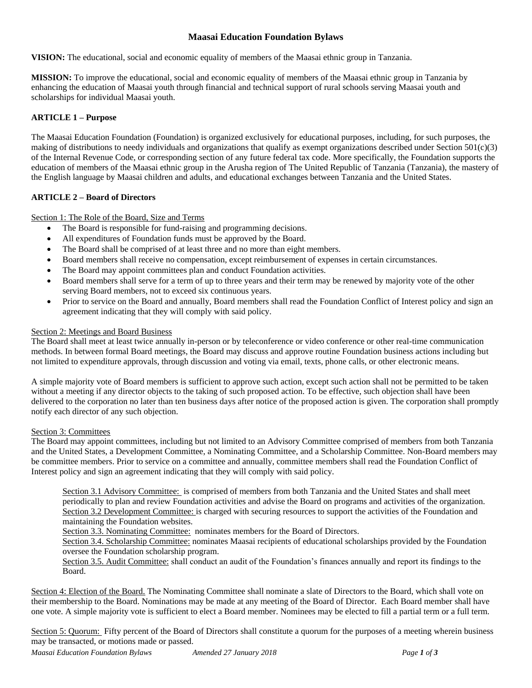# **Maasai Education Foundation Bylaws**

**VISION:** The educational, social and economic equality of members of the Maasai ethnic group in Tanzania.

**MISSION:** To improve the educational, social and economic equality of members of the Maasai ethnic group in Tanzania by enhancing the education of Maasai youth through financial and technical support of rural schools serving Maasai youth and scholarships for individual Maasai youth.

## **ARTICLE 1 – Purpose**

The Maasai Education Foundation (Foundation) is organized exclusively for educational purposes, including, for such purposes, the making of distributions to needy individuals and organizations that qualify as exempt organizations described under Section  $501(c)(3)$ of the Internal Revenue Code, or corresponding section of any future federal tax code. More specifically, the Foundation supports the education of members of the Maasai ethnic group in the Arusha region of The United Republic of Tanzania (Tanzania), the mastery of the English language by Maasai children and adults, and educational exchanges between Tanzania and the United States.

## **ARTICLE 2 – Board of Directors**

Section 1: The Role of the Board, Size and Terms

- The Board is responsible for fund-raising and programming decisions.
- All expenditures of Foundation funds must be approved by the Board.
- The Board shall be comprised of at least three and no more than eight members.
- Board members shall receive no compensation, except reimbursement of expenses in certain circumstances.
- The Board may appoint committees plan and conduct Foundation activities.
- Board members shall serve for a term of up to three years and their term may be renewed by majority vote of the other serving Board members, not to exceed six continuous years.
- Prior to service on the Board and annually, Board members shall read the Foundation Conflict of Interest policy and sign an agreement indicating that they will comply with said policy.

## Section 2: Meetings and Board Business

The Board shall meet at least twice annually in-person or by teleconference or video conference or other real-time communication methods. In between formal Board meetings, the Board may discuss and approve routine Foundation business actions including but not limited to expenditure approvals, through discussion and voting via email, texts, phone calls, or other electronic means.

A simple majority vote of Board members is sufficient to approve such action, except such action shall not be permitted to be taken without a meeting if any director objects to the taking of such proposed action. To be effective, such objection shall have been delivered to the corporation no later than ten business days after notice of the proposed action is given. The corporation shall promptly notify each director of any such objection.

## Section 3: Committees

The Board may appoint committees, including but not limited to an Advisory Committee comprised of members from both Tanzania and the United States, a Development Committee, a Nominating Committee, and a Scholarship Committee. Non-Board members may be committee members. Prior to service on a committee and annually, committee members shall read the Foundation Conflict of Interest policy and sign an agreement indicating that they will comply with said policy.

Section 3.1 Advisory Committee: is comprised of members from both Tanzania and the United States and shall meet periodically to plan and review Foundation activities and advise the Board on programs and activities of the organization. Section 3.2 Development Committee: is charged with securing resources to support the activities of the Foundation and maintaining the Foundation websites.

Section 3.3. Nominating Committee: nominates members for the Board of Directors.

Section 3.4. Scholarship Committee: nominates Maasai recipients of educational scholarships provided by the Foundation oversee the Foundation scholarship program.

Section 3.5. Audit Committee: shall conduct an audit of the Foundation's finances annually and report its findings to the Board.

Section 4: Election of the Board. The Nominating Committee shall nominate a slate of Directors to the Board, which shall vote on their membership to the Board. Nominations may be made at any meeting of the Board of Director. Each Board member shall have one vote. A simple majority vote is sufficient to elect a Board member. Nominees may be elected to fill a partial term or a full term.

Section 5: Quorum: Fifty percent of the Board of Directors shall constitute a quorum for the purposes of a meeting wherein business may be transacted, or motions made or passed.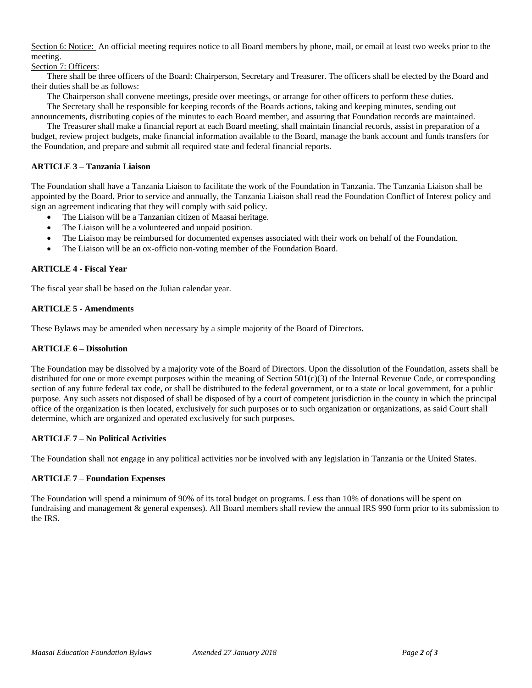Section 6: Notice: An official meeting requires notice to all Board members by phone, mail, or email at least two weeks prior to the meeting.

Section 7: Officers:

There shall be three officers of the Board: Chairperson, Secretary and Treasurer. The officers shall be elected by the Board and their duties shall be as follows:

The Chairperson shall convene meetings, preside over meetings, or arrange for other officers to perform these duties.

The Secretary shall be responsible for keeping records of the Boards actions, taking and keeping minutes, sending out announcements, distributing copies of the minutes to each Board member, and assuring that Foundation records are maintained.

The Treasurer shall make a financial report at each Board meeting, shall maintain financial records, assist in preparation of a budget, review project budgets, make financial information available to the Board, manage the bank account and funds transfers for the Foundation, and prepare and submit all required state and federal financial reports.

## **ARTICLE 3 – Tanzania Liaison**

The Foundation shall have a Tanzania Liaison to facilitate the work of the Foundation in Tanzania. The Tanzania Liaison shall be appointed by the Board. Prior to service and annually, the Tanzania Liaison shall read the Foundation Conflict of Interest policy and sign an agreement indicating that they will comply with said policy.

- The Liaison will be a Tanzanian citizen of Maasai heritage.
- The Liaison will be a volunteered and unpaid position.
- The Liaison may be reimbursed for documented expenses associated with their work on behalf of the Foundation.
- The Liaison will be an ox-officio non-voting member of the Foundation Board.

#### **ARTICLE 4 - Fiscal Year**

The fiscal year shall be based on the Julian calendar year.

## **ARTICLE 5 - Amendments**

These Bylaws may be amended when necessary by a simple majority of the Board of Directors.

#### **ARTICLE 6 – Dissolution**

The Foundation may be dissolved by a majority vote of the Board of Directors. Upon the dissolution of the Foundation, assets shall be distributed for one or more exempt purposes within the meaning of Section  $501(c)(3)$  of the Internal Revenue Code, or corresponding section of any future federal tax code, or shall be distributed to the federal government, or to a state or local government, for a public purpose. Any such assets not disposed of shall be disposed of by a court of competent jurisdiction in the county in which the principal office of the organization is then located, exclusively for such purposes or to such organization or organizations, as said Court shall determine, which are organized and operated exclusively for such purposes.

## **ARTICLE 7 – No Political Activities**

The Foundation shall not engage in any political activities nor be involved with any legislation in Tanzania or the United States.

## **ARTICLE 7 – Foundation Expenses**

The Foundation will spend a minimum of 90% of its total budget on programs. Less than 10% of donations will be spent on fundraising and management & general expenses). All Board members shall review the annual IRS 990 form prior to its submission to the IRS.